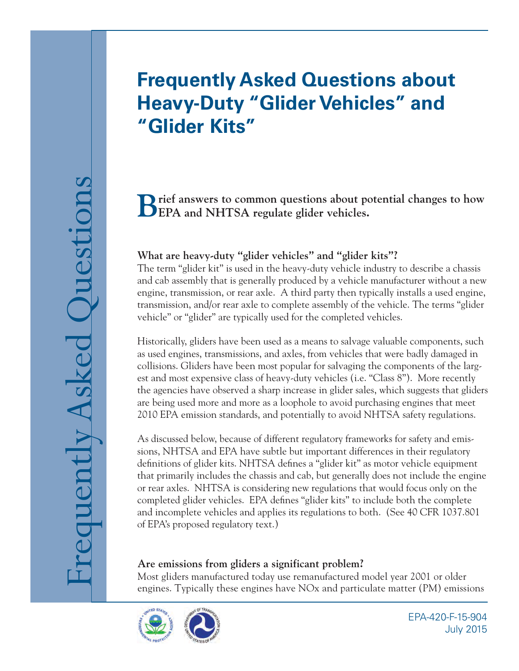# **Frequently Asked Questions about Heavy-Duty "Glider Vehicles" and "Glider Kits"**

**Brief answers to common questions about potential changes to how EPA and NHTSA regulate glider vehicles.** 

## **What are heavy-duty "glider vehicles" and "glider kits"?**

The term "glider kit" is used in the heavy-duty vehicle industry to describe a chassis and cab assembly that is generally produced by a vehicle manufacturer without a new engine, transmission, or rear axle. A third party then typically installs a used engine, transmission, and/or rear axle to complete assembly of the vehicle. The terms "glider vehicle" or "glider" are typically used for the completed vehicles.

Historically, gliders have been used as a means to salvage valuable components, such as used engines, transmissions, and axles, from vehicles that were badly damaged in collisions. Gliders have been most popular for salvaging the components of the largest and most expensive class of heavy-duty vehicles (i.e. "Class 8"). More recently the agencies have observed a sharp increase in glider sales, which suggests that gliders are being used more and more as a loophole to avoid purchasing engines that meet 2010 EPA emission standards, and potentially to avoid NHTSA safety regulations.

As discussed below, because of different regulatory frameworks for safety and emissions, NHTSA and EPA have subtle but important differences in their regulatory definitions of glider kits. NHTSA defines a "glider kit" as motor vehicle equipment that primarily includes the chassis and cab, but generally does not include the engine or rear axles. NHTSA is considering new regulations that would focus only on the completed glider vehicles. EPA defines "glider kits" to include both the complete and incomplete vehicles and applies its regulations to both. (See 40 CFR 1037.801 of EPA's proposed regulatory text.)

## **Are emissions from gliders a significant problem?**

Most gliders manufactured today use remanufactured model year 2001 or older engines. Typically these engines have NOx and particulate matter (PM) emissions



EPA-420-F-15-904 July 2015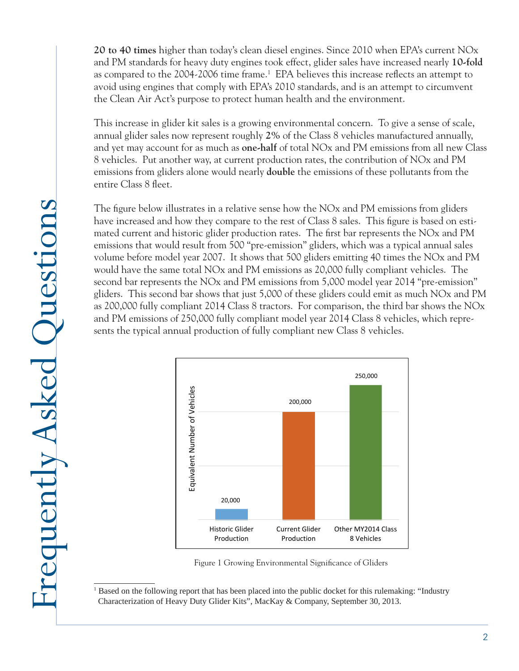**20 to 40 times** higher than today's clean diesel engines. Since 2010 when EPA's current NOx and PM standards for heavy duty engines took effect, glider sales have increased nearly **10-fold**  as compared to the 2004-2006 time frame.<sup>1</sup> EPA believes this increase reflects an attempt to avoid using engines that comply with EPA's 2010 standards, and is an attempt to circumvent the Clean Air Act's purpose to protect human health and the environment.

This increase in glider kit sales is a growing environmental concern. To give a sense of scale, annual glider sales now represent roughly **2%** of the Class 8 vehicles manufactured annually, and yet may account for as much as **one-half** of total NOx and PM emissions from all new Class 8 vehicles. Put another way, at current production rates, the contribution of NOx and PM emissions from gliders alone would nearly **double** the emissions of these pollutants from the entire Class 8 fleet.

The figure below illustrates in a relative sense how the NOx and PM emissions from gliders have increased and how they compare to the rest of Class 8 sales. This figure is based on estimated current and historic glider production rates. The first bar represents the NOx and PM emissions that would result from 500 "pre-emission" gliders, which was a typical annual sales volume before model year 2007. It shows that 500 gliders emitting 40 times the NOx and PM would have the same total NOx and PM emissions as 20,000 fully compliant vehicles. The second bar represents the NOx and PM emissions from 5,000 model year 2014 "pre-emission" gliders. This second bar shows that just 5,000 of these gliders could emit as much NOx and PM as 200,000 fully compliant 2014 Class 8 tractors. For comparison, the third bar shows the NOx and PM emissions of 250,000 fully compliant model year 2014 Class 8 vehicles, which represents the typical annual production of fully compliant new Class 8 vehicles.



Figure 1 Growing Environmental Significance of Gliders

<sup>&</sup>lt;sup>1</sup> Based on the following report that has been placed into the public docket for this rulemaking: "Industry Characterization of Heavy Duty Glider Kits", MacKay & Company, September 30, 2013.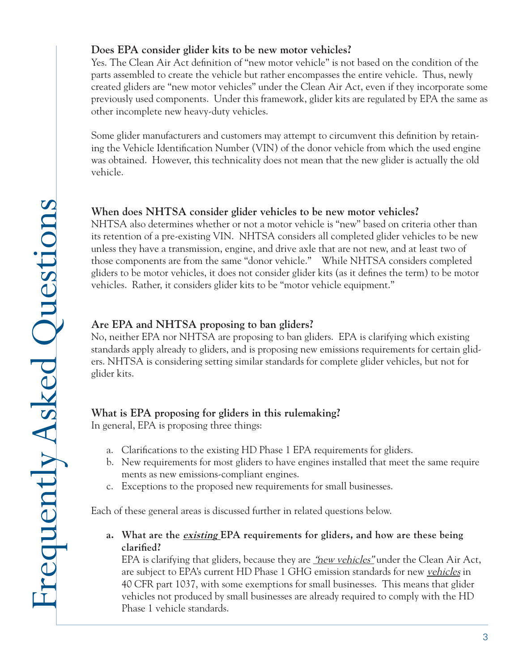## **Does EPA consider glider kits to be new motor vehicles?**

Yes. The Clean Air Act definition of "new motor vehicle" is not based on the condition of the parts assembled to create the vehicle but rather encompasses the entire vehicle. Thus, newly created gliders are "new motor vehicles" under the Clean Air Act, even if they incorporate some previously used components. Under this framework, glider kits are regulated by EPA the same as other incomplete new heavy-duty vehicles.

Some glider manufacturers and customers may attempt to circumvent this definition by retaining the Vehicle Identification Number (VIN) of the donor vehicle from which the used engine was obtained. However, this technicality does not mean that the new glider is actually the old vehicle.

## **When does NHTSA consider glider vehicles to be new motor vehicles?**

 those components are from the same "donor vehicle." While NHTSA considers completed NHTSA also determines whether or not a motor vehicle is "new" based on criteria other than its retention of a pre-existing VIN. NHTSA considers all completed glider vehicles to be new unless they have a transmission, engine, and drive axle that are not new, and at least two of gliders to be motor vehicles, it does not consider glider kits (as it defines the term) to be motor vehicles. Rather, it considers glider kits to be "motor vehicle equipment."

## **Are EPA and NHTSA proposing to ban gliders?**

No, neither EPA nor NHTSA are proposing to ban gliders. EPA is clarifying which existing standards apply already to gliders, and is proposing new emissions requirements for certain gliders. NHTSA is considering setting similar standards for complete glider vehicles, but not for glider kits.

# **What is EPA proposing for gliders in this rulemaking?**

In general, EPA is proposing three things:

- a. Clarifications to the existing HD Phase 1 EPA requirements for gliders.
- b. New requirements for most gliders to have engines installed that meet the same require ments as new emissions-compliant engines.
- c. Exceptions to the proposed new requirements for small businesses.

Each of these general areas is discussed further in related questions below.

**a. What are the existing EPA requirements for gliders, and how are these being clarified?** 

EPA is clarifying that gliders, because they are *"new vehicles*" under the Clean Air Act, are subject to EPA's current HD Phase 1 GHG emission standards for new *vehicles* in 40 CFR part 1037, with some exemptions for small businesses. This means that glider vehicles not produced by small businesses are already required to comply with the HD Phase 1 vehicle standards.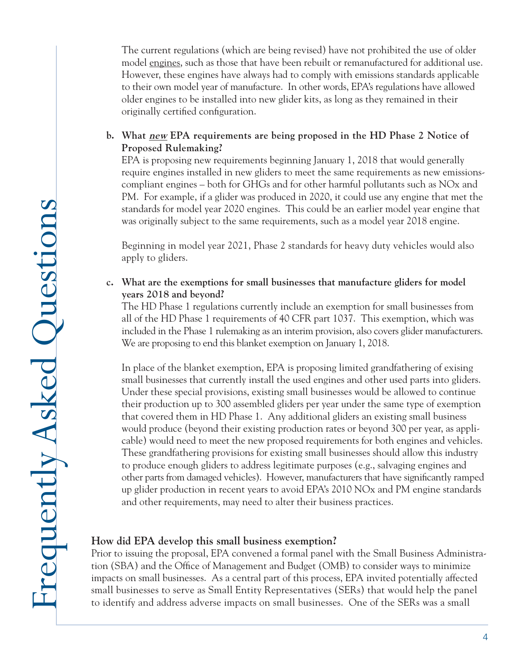The current regulations (which are being revised) have not prohibited the use of older model engines, such as those that have been rebuilt or remanufactured for additional use. However, these engines have always had to comply with emissions standards applicable to their own model year of manufacture. In other words, EPA's regulations have allowed older engines to be installed into new glider kits, as long as they remained in their originally certified configuration.

#### **b. What new EPA requirements are being proposed in the HD Phase 2 Notice of Proposed Rulemaking?**

 require engines installed in new gliders to meet the same requirements as new emissions-EPA is proposing new requirements beginning January 1, 2018 that would generally compliant engines – both for GHGs and for other harmful pollutants such as NOx and PM. For example, if a glider was produced in 2020, it could use any engine that met the standards for model year 2020 engines. This could be an earlier model year engine that was originally subject to the same requirements, such as a model year 2018 engine.

Beginning in model year 2021, Phase 2 standards for heavy duty vehicles would also apply to gliders.

#### **c. What are the exemptions for small businesses that manufacture gliders for model years 2018 and beyond?**

The HD Phase 1 regulations currently include an exemption for small businesses from all of the HD Phase 1 requirements of 40 CFR part 1037. This exemption, which was included in the Phase 1 rulemaking as an interim provision, also covers glider manufacturers. We are proposing to end this blanket exemption on January 1, 2018.

 small businesses that currently install the used engines and other used parts into gliders. Under these special provisions, existing small businesses would be allowed to continue would produce (beyond their existing production rates or beyond 300 per year, as appli- to produce enough gliders to address legitimate purposes (e.g., salvaging engines and other parts from damaged vehicles). However, manufacturers that have significantly ramped In place of the blanket exemption, EPA is proposing limited grandfathering of exising their production up to 300 assembled gliders per year under the same type of exemption that covered them in HD Phase 1. Any additional gliders an existing small business cable) would need to meet the new proposed requirements for both engines and vehicles. These grandfathering provisions for existing small businesses should allow this industry up glider production in recent years to avoid EPA's 2010 NOx and PM engine standards and other requirements, may need to alter their business practices.

## **How did EPA develop this small business exemption?**

Prior to issuing the proposal, EPA convened a formal panel with the Small Business Administration (SBA) and the Office of Management and Budget (OMB) to consider ways to minimize impacts on small businesses. As a central part of this process, EPA invited potentially affected small businesses to serve as Small Entity Representatives (SERs) that would help the panel to identify and address adverse impacts on small businesses. One of the SERs was a small